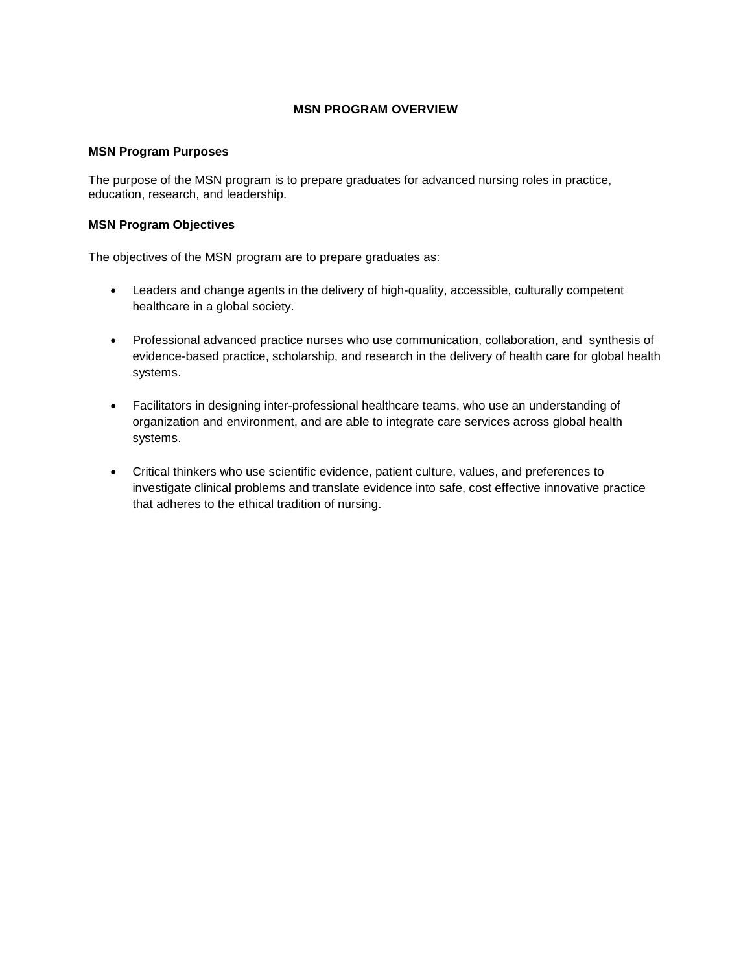# **MSN PROGRAM OVERVIEW**

# **MSN Program Purposes**

The purpose of the MSN program is to prepare graduates for advanced nursing roles in practice, education, research, and leadership.

# **MSN Program Objectives**

The objectives of the MSN program are to prepare graduates as:

- Leaders and change agents in the delivery of high-quality, accessible, culturally competent healthcare in a global society.
- Professional advanced practice nurses who use communication, collaboration, and synthesis of evidence-based practice, scholarship, and research in the delivery of health care for global health systems.
- Facilitators in designing inter-professional healthcare teams, who use an understanding of organization and environment, and are able to integrate care services across global health systems.
- Critical thinkers who use scientific evidence, patient culture, values, and preferences to investigate clinical problems and translate evidence into safe, cost effective innovative practice that adheres to the ethical tradition of nursing.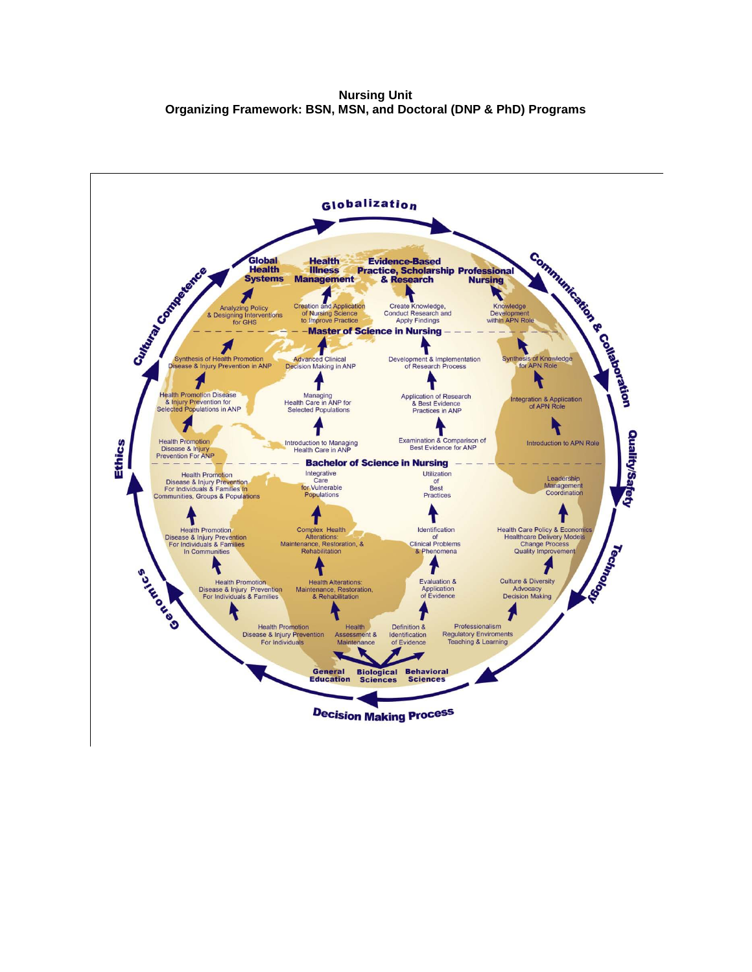**Nursing Unit Organizing Framework: BSN, MSN, and Doctoral (DNP & PhD) Programs**

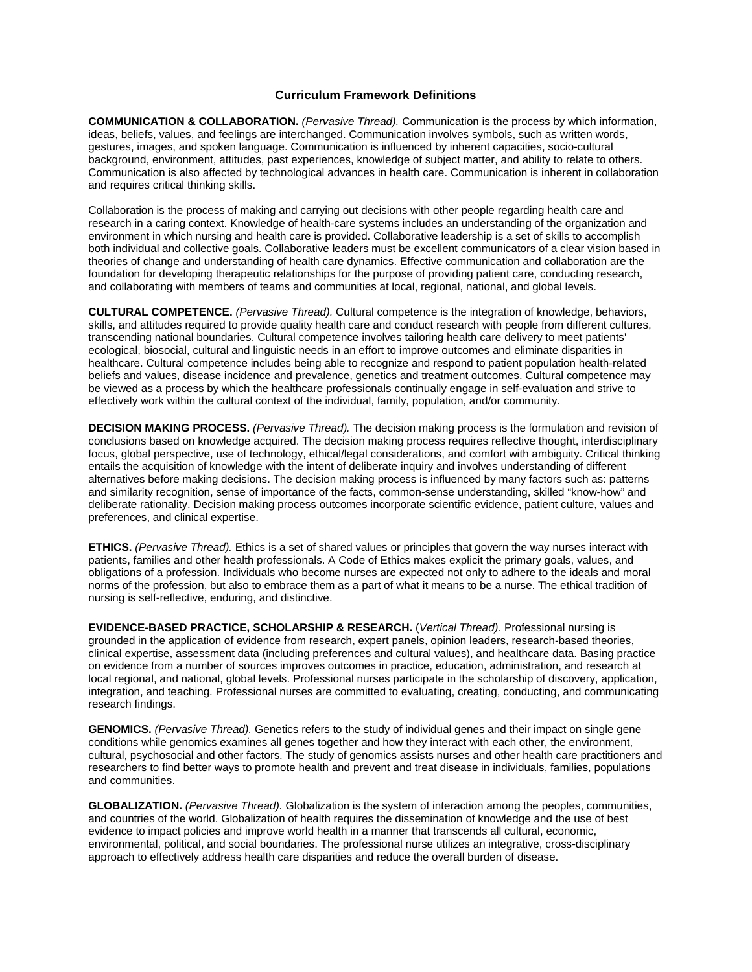# **Curriculum Framework Definitions**

**COMMUNICATION & COLLABORATION.** *(Pervasive Thread).* Communication is the process by which information, ideas, beliefs, values, and feelings are interchanged. Communication involves symbols, such as written words, gestures, images, and spoken language. Communication is influenced by inherent capacities, socio-cultural background, environment, attitudes, past experiences, knowledge of subject matter, and ability to relate to others. Communication is also affected by technological advances in health care. Communication is inherent in collaboration and requires critical thinking skills.

Collaboration is the process of making and carrying out decisions with other people regarding health care and research in a caring context. Knowledge of health-care systems includes an understanding of the organization and environment in which nursing and health care is provided. Collaborative leadership is a set of skills to accomplish both individual and collective goals. Collaborative leaders must be excellent communicators of a clear vision based in theories of change and understanding of health care dynamics. Effective communication and collaboration are the foundation for developing therapeutic relationships for the purpose of providing patient care, conducting research, and collaborating with members of teams and communities at local, regional, national, and global levels.

**CULTURAL COMPETENCE.** *(Pervasive Thread).* Cultural competence is the integration of knowledge, behaviors, skills, and attitudes required to provide quality health care and conduct research with people from different cultures, transcending national boundaries. Cultural competence involves tailoring health care delivery to meet patients' ecological, biosocial, cultural and linguistic needs in an effort to improve outcomes and eliminate disparities in healthcare. Cultural competence includes being able to recognize and respond to patient population health-related beliefs and values, disease incidence and prevalence, genetics and treatment outcomes. Cultural competence may be viewed as a process by which the healthcare professionals continually engage in self-evaluation and strive to effectively work within the cultural context of the individual, family, population, and/or community.

**DECISION MAKING PROCESS.** *(Pervasive Thread).* The decision making process is the formulation and revision of conclusions based on knowledge acquired. The decision making process requires reflective thought, interdisciplinary focus, global perspective, use of technology, ethical/legal considerations, and comfort with ambiguity. Critical thinking entails the acquisition of knowledge with the intent of deliberate inquiry and involves understanding of different alternatives before making decisions. The decision making process is influenced by many factors such as: patterns and similarity recognition, sense of importance of the facts, common-sense understanding, skilled "know-how" and deliberate rationality. Decision making process outcomes incorporate scientific evidence, patient culture, values and preferences, and clinical expertise.

**ETHICS.** *(Pervasive Thread).* Ethics is a set of shared values or principles that govern the way nurses interact with patients, families and other health professionals. A Code of Ethics makes explicit the primary goals, values, and obligations of a profession. Individuals who become nurses are expected not only to adhere to the ideals and moral norms of the profession, but also to embrace them as a part of what it means to be a nurse. The ethical tradition of nursing is self-reflective, enduring, and distinctive.

**EVIDENCE-BASED PRACTICE, SCHOLARSHIP & RESEARCH.** (*Vertical Thread).* Professional nursing is grounded in the application of evidence from research, expert panels, opinion leaders, research-based theories, clinical expertise, assessment data (including preferences and cultural values), and healthcare data. Basing practice on evidence from a number of sources improves outcomes in practice, education, administration, and research at local regional, and national, global levels. Professional nurses participate in the scholarship of discovery, application, integration, and teaching. Professional nurses are committed to evaluating, creating, conducting, and communicating research findings.

**GENOMICS.** *(Pervasive Thread).* Genetics refers to the study of individual genes and their impact on single gene conditions while genomics examines all genes together and how they interact with each other, the environment, cultural, psychosocial and other factors. The study of genomics assists nurses and other health care practitioners and researchers to find better ways to promote health and prevent and treat disease in individuals, families, populations and communities.

**GLOBALIZATION.** *(Pervasive Thread).* Globalization is the system of interaction among the peoples, communities, and countries of the world. Globalization of health requires the dissemination of knowledge and the use of best evidence to impact policies and improve world health in a manner that transcends all cultural, economic, environmental, political, and social boundaries. The professional nurse utilizes an integrative, cross-disciplinary approach to effectively address health care disparities and reduce the overall burden of disease.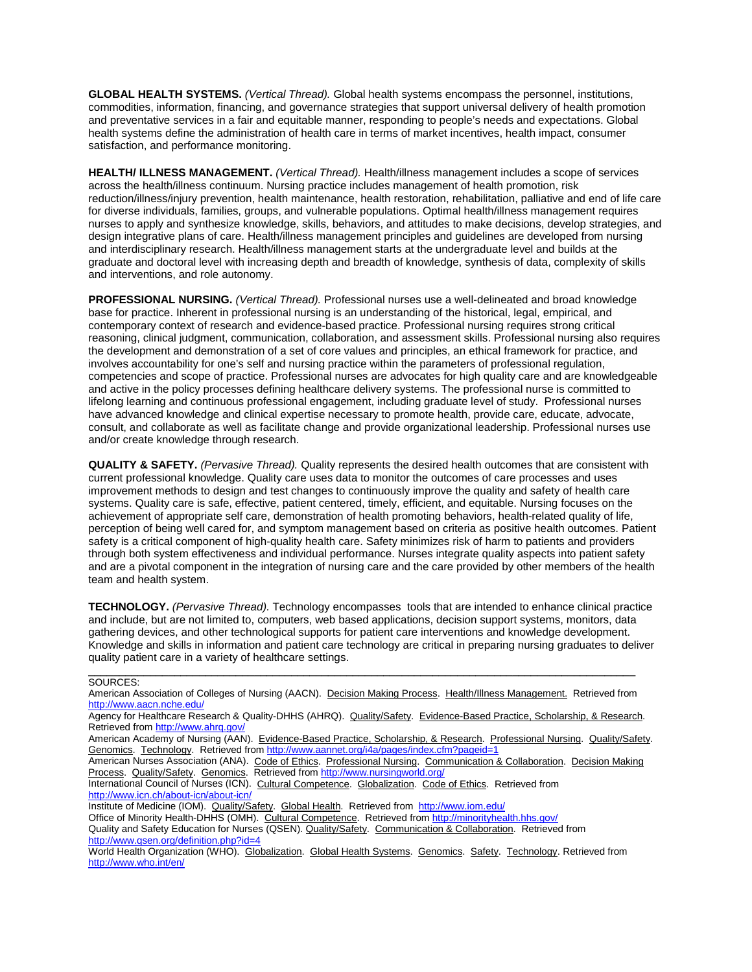**GLOBAL HEALTH SYSTEMS.** *(Vertical Thread).* Global health systems encompass the personnel, institutions, commodities, information, financing, and governance strategies that support universal delivery of health promotion and preventative services in a fair and equitable manner, responding to people's needs and expectations. Global health systems define the administration of health care in terms of market incentives, health impact, consumer satisfaction, and performance monitoring.

**HEALTH/ ILLNESS MANAGEMENT.** *(Vertical Thread).* Health/illness management includes a scope of services across the health/illness continuum. Nursing practice includes management of health promotion, risk reduction/illness/injury prevention, health maintenance, health restoration, rehabilitation, palliative and end of life care for diverse individuals, families, groups, and vulnerable populations. Optimal health/illness management requires nurses to apply and synthesize knowledge, skills, behaviors, and attitudes to make decisions, develop strategies, and design integrative plans of care. Health/illness management principles and guidelines are developed from nursing and interdisciplinary research. Health/illness management starts at the undergraduate level and builds at the graduate and doctoral level with increasing depth and breadth of knowledge, synthesis of data, complexity of skills and interventions, and role autonomy.

**PROFESSIONAL NURSING.** *(Vertical Thread).* Professional nurses use a well-delineated and broad knowledge base for practice. Inherent in professional nursing is an understanding of the historical, legal, empirical, and contemporary context of research and evidence-based practice. Professional nursing requires strong critical reasoning, clinical judgment, communication, collaboration, and assessment skills. Professional nursing also requires the development and demonstration of a set of core values and principles, an ethical framework for practice, and involves accountability for one's self and nursing practice within the parameters of professional regulation, competencies and scope of practice. Professional nurses are advocates for high quality care and are knowledgeable and active in the policy processes defining healthcare delivery systems. The professional nurse is committed to lifelong learning and continuous professional engagement, including graduate level of study. Professional nurses have advanced knowledge and clinical expertise necessary to promote health, provide care, educate, advocate, consult, and collaborate as well as facilitate change and provide organizational leadership. Professional nurses use and/or create knowledge through research.

**QUALITY & SAFETY.** *(Pervasive Thread).* Quality represents the desired health outcomes that are consistent with current professional knowledge. Quality care uses data to monitor the outcomes of care processes and uses improvement methods to design and test changes to continuously improve the quality and safety of health care systems. Quality care is safe, effective, patient centered, timely, efficient, and equitable. Nursing focuses on the achievement of appropriate self care, demonstration of health promoting behaviors, health-related quality of life, perception of being well cared for, and symptom management based on criteria as positive health outcomes. Patient safety is a critical component of high-quality health care. Safety minimizes risk of harm to patients and providers through both system effectiveness and individual performance. Nurses integrate quality aspects into patient safety and are a pivotal component in the integration of nursing care and the care provided by other members of the health team and health system.

**TECHNOLOGY.** *(Pervasive Thread).* Technology encompasses tools that are intended to enhance clinical practice and include, but are not limited to, computers, web based applications, decision support systems, monitors, data gathering devices, and other technological supports for patient care interventions and knowledge development. Knowledge and skills in information and patient care technology are critical in preparing nursing graduates to deliver quality patient care in a variety of healthcare settings.

#### \_\_\_\_\_\_\_\_\_\_\_\_\_\_\_\_\_\_\_\_\_\_\_\_\_\_\_\_\_\_\_\_\_\_\_\_\_\_\_\_\_\_\_\_\_\_\_\_\_\_\_\_\_\_\_\_\_\_\_\_\_\_\_\_\_\_\_\_\_\_\_\_\_\_\_\_\_\_\_\_\_\_\_\_\_\_\_\_\_ SOURCES:

American Association of Colleges of Nursing (AACN). Decision Making Process. Health/Illness Management. Retrieved from <http://www.aacn.nche.edu/>

Agency for Healthcare Research & Quality-DHHS (AHRQ). Quality/Safety. Evidence-Based Practice, Scholarship, & Research. Retrieved fro[m http://www.ahrq.gov/](http://www.ahrq.gov/)

American Academy of Nursing (AAN). Evidence-Based Practice, Scholarship, & Research. Professional Nursing. Quality/Safety. Genomics. Technology. Retrieved fro[m http://www.aannet.org/i4a/pages/index.cfm?pageid=1](http://www.aannet.org/i4a/pages/index.cfm?pageid=1)

American Nurses Association (ANA). Code of Ethics. Professional Nursing. Communication & Collaboration. Decision Making Process. Quality/Safety. Genomics. Retrieved fro[m http://www.nursingworld.org/](http://www.nursingworld.org/)

International Council of Nurses (ICN). Cultural Competence. Globalization. Code of Ethics. Retrieved from <http://www.icn.ch/about-icn/about-icn/>

Institute of Medicine (IOM). Quality/Safety. Global Health. Retrieved from <http://www.iom.edu/>

Office of Minority Health-DHHS (OMH). Cultural Competence. Retrieved from<http://minorityhealth.hhs.gov/>

Quality and Safety Education for Nurses (QSEN). Quality/Safety. Communication & Collaboration. Retrieved from <http://www.qsen.org/definition.php?id=4>

World Health Organization (WHO). Globalization. Global Health Systems. Genomics. Safety. Technology. Retrieved from <http://www.who.int/en/>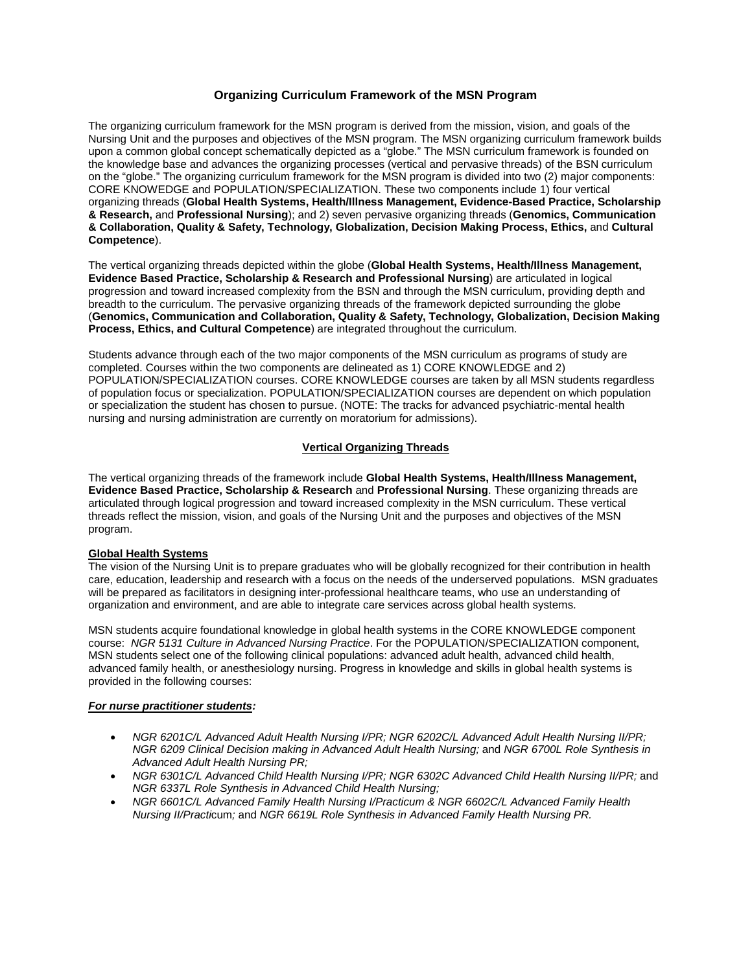# **Organizing Curriculum Framework of the MSN Program**

The organizing curriculum framework for the MSN program is derived from the mission, vision, and goals of the Nursing Unit and the purposes and objectives of the MSN program. The MSN organizing curriculum framework builds upon a common global concept schematically depicted as a "globe." The MSN curriculum framework is founded on the knowledge base and advances the organizing processes (vertical and pervasive threads) of the BSN curriculum on the "globe." The organizing curriculum framework for the MSN program is divided into two (2) major components: CORE KNOWEDGE and POPULATION/SPECIALIZATION. These two components include 1) four vertical organizing threads (**Global Health Systems, Health/Illness Management, Evidence-Based Practice, Scholarship & Research,** and **Professional Nursing**); and 2) seven pervasive organizing threads (**Genomics, Communication & Collaboration, Quality & Safety, Technology, Globalization, Decision Making Process, Ethics,** and **Cultural Competence**).

The vertical organizing threads depicted within the globe (**Global Health Systems, Health/Illness Management, Evidence Based Practice, Scholarship & Research and Professional Nursing**) are articulated in logical progression and toward increased complexity from the BSN and through the MSN curriculum, providing depth and breadth to the curriculum. The pervasive organizing threads of the framework depicted surrounding the globe (**Genomics, Communication and Collaboration, Quality & Safety, Technology, Globalization, Decision Making Process, Ethics, and Cultural Competence**) are integrated throughout the curriculum.

Students advance through each of the two major components of the MSN curriculum as programs of study are completed. Courses within the two components are delineated as 1) CORE KNOWLEDGE and 2) POPULATION/SPECIALIZATION courses. CORE KNOWLEDGE courses are taken by all MSN students regardless of population focus or specialization. POPULATION/SPECIALIZATION courses are dependent on which population or specialization the student has chosen to pursue. (NOTE: The tracks for advanced psychiatric-mental health nursing and nursing administration are currently on moratorium for admissions).

# **Vertical Organizing Threads**

The vertical organizing threads of the framework include **Global Health Systems, Health/Illness Management, Evidence Based Practice, Scholarship & Research** and **Professional Nursing**. These organizing threads are articulated through logical progression and toward increased complexity in the MSN curriculum. These vertical threads reflect the mission, vision, and goals of the Nursing Unit and the purposes and objectives of the MSN program.

# **Global Health Systems**

The vision of the Nursing Unit is to prepare graduates who will be globally recognized for their contribution in health care, education, leadership and research with a focus on the needs of the underserved populations. MSN graduates will be prepared as facilitators in designing inter-professional healthcare teams, who use an understanding of organization and environment, and are able to integrate care services across global health systems.

MSN students acquire foundational knowledge in global health systems in the CORE KNOWLEDGE component course: *NGR 5131 Culture in Advanced Nursing Practice*. For the POPULATION/SPECIALIZATION component, MSN students select one of the following clinical populations: advanced adult health, advanced child health, advanced family health, or anesthesiology nursing. Progress in knowledge and skills in global health systems is provided in the following courses:

#### *For nurse practitioner students :*

- *NGR 6201C/L Advanced Adult Health Nursing I/PR; NGR 6202C/L Advanced Adult Health Nursing II/PR; NGR 6209 Clinical Decision making in Advanced Adult Health Nursing;* and *NGR 6700L Role Synthesis in Advanced Adult Health Nursing PR;*
- *NGR 6301C/L Advanced Child Health Nursing I/PR; NGR 6302C Advanced Child Health Nursing II/PR;* and *NGR 6337L Role Synthesis in Advanced Child Health Nursing;*
- *NGR 6601C/L Advanced Family Health Nursing I/Practicum & NGR 6602C/L Advanced Family Health Nursing II/Practi*cum*;* and *NGR 6619L Role Synthesis in Advanced Family Health Nursing PR.*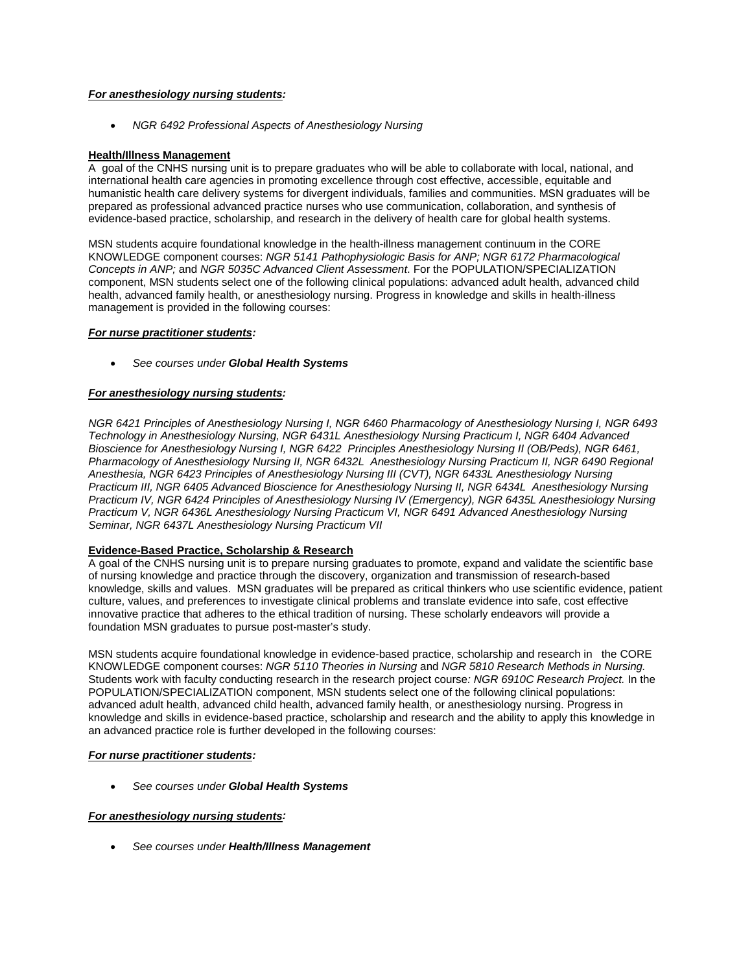## *For anesthesiology nursing students :*

• *NGR 6492 Professional Aspects of Anesthesiology Nursing*

# **Health/Illness Management**

A goal of the CNHS nursing unit is to prepare graduates who will be able to collaborate with local, national, and international health care agencies in promoting excellence through cost effective, accessible, equitable and humanistic health care delivery systems for divergent individuals, families and communities. MSN graduates will be prepared as professional advanced practice nurses who use communication, collaboration, and synthesis of evidence-based practice, scholarship, and research in the delivery of health care for global health systems.

MSN students acquire foundational knowledge in the health-illness management continuum in the CORE KNOWLEDGE component courses: *NGR 5141 Pathophysiologic Basis for ANP; NGR 6172 Pharmacological Concepts in ANP;* and *NGR 5035C Advanced Client Assessment*. For the POPULATION/SPECIALIZATION component, MSN students select one of the following clinical populations: advanced adult health, advanced child health, advanced family health, or anesthesiology nursing. Progress in knowledge and skills in health-illness management is provided in the following courses:

# *For nurse practitioner students :*

• *See courses under Global Health Systems*

# *For anesthesiology nursing students :*

*NGR 6421 Principles of Anesthesiology Nursing I, NGR 6460 Pharmacology of Anesthesiology Nursing I, NGR 6493 Technology in Anesthesiology Nursing, NGR 6431L Anesthesiology Nursing Practicum I, NGR 6404 Advanced Bioscience for Anesthesiology Nursing I, NGR 6422 Principles Anesthesiology Nursing II (OB/Peds), NGR 6461, Pharmacology of Anesthesiology Nursing II, NGR 6432L Anesthesiology Nursing Practicum II, NGR 6490 Regional Anesthesia, NGR 6423 Principles of Anesthesiology Nursing III (CVT), NGR 6433L Anesthesiology Nursing Practicum III, NGR 6405 Advanced Bioscience for Anesthesiology Nursing II, NGR 6434L Anesthesiology Nursing Practicum IV, NGR 6424 Principles of Anesthesiology Nursing IV (Emergency), NGR 6435L Anesthesiology Nursing Practicum V, NGR 6436L Anesthesiology Nursing Practicum VI, NGR 6491 Advanced Anesthesiology Nursing Seminar, NGR 6437L Anesthesiology Nursing Practicum VII*

# **Evidence-Based Practice, Scholarship & Research**

A goal of the CNHS nursing unit is to prepare nursing graduates to promote, expand and validate the scientific base of nursing knowledge and practice through the discovery, organization and transmission of research-based knowledge, skills and values. MSN graduates will be prepared as critical thinkers who use scientific evidence, patient culture, values, and preferences to investigate clinical problems and translate evidence into safe, cost effective innovative practice that adheres to the ethical tradition of nursing. These scholarly endeavors will provide a foundation MSN graduates to pursue post-master's study.

MSN students acquire foundational knowledge in evidence-based practice, scholarship and research in the CORE KNOWLEDGE component courses: *NGR 5110 Theories in Nursing* and *NGR 5810 Research Methods in Nursing.* Students work with faculty conducting research in the research project course*: NGR 6910C Research Project.* In the POPULATION/SPECIALIZATION component, MSN students select one of the following clinical populations: advanced adult health, advanced child health, advanced family health, or anesthesiology nursing. Progress in knowledge and skills in evidence-based practice, scholarship and research and the ability to apply this knowledge in an advanced practice role is further developed in the following courses:

# *For nurse practitioner students :*

• *See courses under Global Health Systems*

#### *For anesthesiology nursing students :*

• *See courses under Health/Illness Management*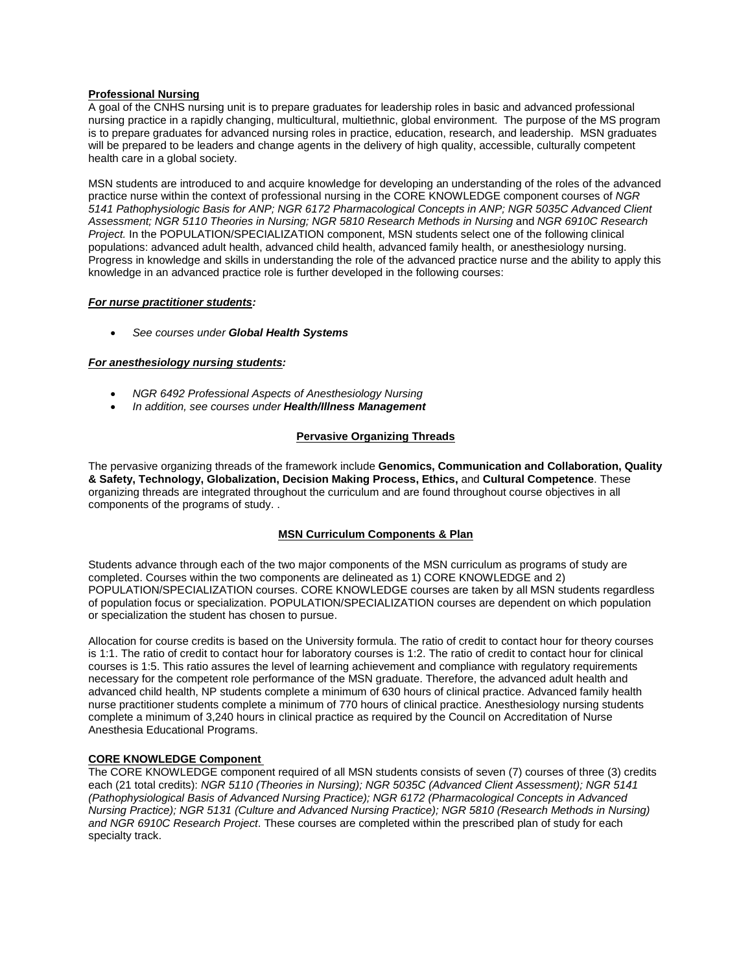#### **Professional Nursing**

A goal of the CNHS nursing unit is to prepare graduates for leadership roles in basic and advanced professional nursing practice in a rapidly changing, multicultural, multiethnic, global environment. The purpose of the MS program is to prepare graduates for advanced nursing roles in practice, education, research, and leadership. MSN graduates will be prepared to be leaders and change agents in the delivery of high quality, accessible, culturally competent health care in a global society.

MSN students are introduced to and acquire knowledge for developing an understanding of the roles of the advanced practice nurse within the context of professional nursing in the CORE KNOWLEDGE component courses of *NGR 5141 Pathophysiologic Basis for ANP; NGR 6172 Pharmacological Concepts in ANP; NGR 5035C Advanced Client Assessment; NGR 5110 Theories in Nursing; NGR 5810 Research Methods in Nursing* and *NGR 6910C Research Project.* In the POPULATION/SPECIALIZATION component, MSN students select one of the following clinical populations: advanced adult health, advanced child health, advanced family health, or anesthesiology nursing. Progress in knowledge and skills in understanding the role of the advanced practice nurse and the ability to apply this knowledge in an advanced practice role is further developed in the following courses:

#### *For nurse practitioner students :*

• *See courses under Global Health Systems*

# *For anesthesiology nursing students :*

- *NGR 6492 Professional Aspects of Anesthesiology Nursing*
- *In addition, see courses under Health/Illness Management*

#### **Pervasive Organizing Threads**

The pervasive organizing threads of the framework include **Genomics, Communication and Collaboration, Quality & Safety, Technology, Globalization, Decision Making Process, Ethics,** and **Cultural Competence**. These organizing threads are integrated throughout the curriculum and are found throughout course objectives in all components of the programs of study. .

#### **MSN Curriculum Components & Plan**

Students advance through each of the two major components of the MSN curriculum as programs of study are completed. Courses within the two components are delineated as 1) CORE KNOWLEDGE and 2) POPULATION/SPECIALIZATION courses. CORE KNOWLEDGE courses are taken by all MSN students regardless of population focus or specialization. POPULATION/SPECIALIZATION courses are dependent on which population or specialization the student has chosen to pursue.

Allocation for course credits is based on the University formula. The ratio of credit to contact hour for theory courses is 1:1. The ratio of credit to contact hour for laboratory courses is 1:2. The ratio of credit to contact hour for clinical courses is 1:5. This ratio assures the level of learning achievement and compliance with regulatory requirements necessary for the competent role performance of the MSN graduate. Therefore, the advanced adult health and advanced child health, NP students complete a minimum of 630 hours of clinical practice. Advanced family health nurse practitioner students complete a minimum of 770 hours of clinical practice. Anesthesiology nursing students complete a minimum of 3,240 hours in clinical practice as required by the Council on Accreditation of Nurse Anesthesia Educational Programs.

# **CORE KNOWLEDGE Component**

The CORE KNOWLEDGE component required of all MSN students consists of seven (7) courses of three (3) credits each (21 total credits): *NGR 5110 (Theories in Nursing); NGR 5035C (Advanced Client Assessment); NGR 5141 (Pathophysiological Basis of Advanced Nursing Practice); NGR 6172 (Pharmacological Concepts in Advanced Nursing Practice); NGR 5131 (Culture and Advanced Nursing Practice); NGR 5810 (Research Methods in Nursing) and NGR 6910C Research Project*. These courses are completed within the prescribed plan of study for each specialty track.